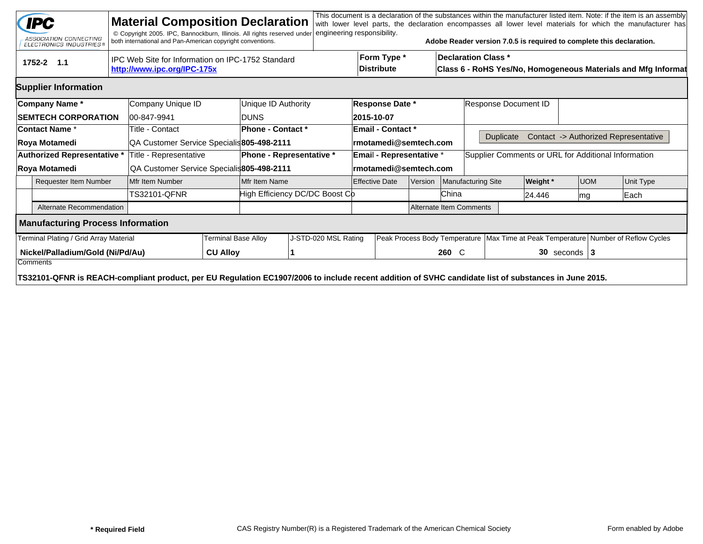|                                                     | <b>IPC</b><br>ASSOCIATION CONNECTING<br>ELECTRONICS INDUSTRIES®                                                                                                  |              | <b>Material Composition Declaration</b><br>© Copyright 2005. IPC, Bannockburn, Illinois. All rights reserved under<br>both international and Pan-American copyright conventions. |                                           |                      | engineering responsibility.    |                                  |                                  |  |                                                                                             | Adobe Reader version 7.0.5 is required to complete this declaration. |                                                                                        |            |  | This document is a declaration of the substances within the manufacturer listed item. Note: if the item is an assembly<br>with lower level parts, the declaration encompasses all lower level materials for which the manufacturer has |  |  |
|-----------------------------------------------------|------------------------------------------------------------------------------------------------------------------------------------------------------------------|--------------|----------------------------------------------------------------------------------------------------------------------------------------------------------------------------------|-------------------------------------------|----------------------|--------------------------------|----------------------------------|----------------------------------|--|---------------------------------------------------------------------------------------------|----------------------------------------------------------------------|----------------------------------------------------------------------------------------|------------|--|----------------------------------------------------------------------------------------------------------------------------------------------------------------------------------------------------------------------------------------|--|--|
|                                                     | 1752-2 1.1                                                                                                                                                       |              | IPC Web Site for Information on IPC-1752 Standard<br>http://www.ipc.org/IPC-175x                                                                                                 |                                           |                      |                                | Form Type *<br><b>Distribute</b> |                                  |  | <b>Declaration Class *</b><br>Class 6 - RoHS Yes/No, Homogeneous Materials and Mfg Informat |                                                                      |                                                                                        |            |  |                                                                                                                                                                                                                                        |  |  |
|                                                     | <b>Supplier Information</b>                                                                                                                                      |              |                                                                                                                                                                                  |                                           |                      |                                |                                  |                                  |  |                                                                                             |                                                                      |                                                                                        |            |  |                                                                                                                                                                                                                                        |  |  |
|                                                     | Company Name*                                                                                                                                                    |              | Company Unique ID                                                                                                                                                                |                                           | Unique ID Authority  | <b>Response Date *</b>         |                                  |                                  |  | Response Document ID                                                                        |                                                                      |                                                                                        |            |  |                                                                                                                                                                                                                                        |  |  |
| <b>SEMTECH CORPORATION</b>                          |                                                                                                                                                                  |              | 00-847-9941                                                                                                                                                                      |                                           | <b>IDUNS</b>         |                                |                                  | 2015-10-07                       |  |                                                                                             |                                                                      |                                                                                        |            |  |                                                                                                                                                                                                                                        |  |  |
| <b>Contact Name *</b>                               |                                                                                                                                                                  |              | Title - Contact                                                                                                                                                                  |                                           | Phone - Contact *    |                                |                                  | Email - Contact *                |  |                                                                                             |                                                                      |                                                                                        |            |  |                                                                                                                                                                                                                                        |  |  |
|                                                     | Roya Motamedi                                                                                                                                                    |              | QA Customer Service Specialis 805-498-2111                                                                                                                                       |                                           |                      |                                |                                  | rmotamedi@semtech.com            |  |                                                                                             | <b>Duplicate</b>                                                     |                                                                                        |            |  | Contact -> Authorized Representative                                                                                                                                                                                                   |  |  |
|                                                     | Authorized Representative *                                                                                                                                      |              | Title - Representative                                                                                                                                                           | <b>Phone - Representative *</b>           |                      |                                | Email - Representative *         |                                  |  |                                                                                             | Supplier Comments or URL for Additional Information                  |                                                                                        |            |  |                                                                                                                                                                                                                                        |  |  |
|                                                     | Roya Motamedi                                                                                                                                                    |              |                                                                                                                                                                                  | QA Customer Service Specialis805-498-2111 |                      |                                | rmotamedi@semtech.com            |                                  |  |                                                                                             |                                                                      |                                                                                        |            |  |                                                                                                                                                                                                                                        |  |  |
| <b>Requester Item Number</b>                        |                                                                                                                                                                  |              | Mfr Item Number                                                                                                                                                                  |                                           | Mfr Item Name        |                                |                                  | <b>Effective Date</b><br>Version |  |                                                                                             | <b>Manufacturing Site</b>                                            | Weight *                                                                               | <b>UOM</b> |  | Unit Type                                                                                                                                                                                                                              |  |  |
|                                                     |                                                                                                                                                                  | TS32101-QFNR |                                                                                                                                                                                  |                                           |                      | High Efficiency DC/DC Boost Cb |                                  |                                  |  | China                                                                                       |                                                                      | 24.446                                                                                 | mg         |  | Each                                                                                                                                                                                                                                   |  |  |
|                                                     | Alternate Recommendation                                                                                                                                         |              |                                                                                                                                                                                  |                                           |                      | Alternate Item Comments        |                                  |                                  |  |                                                                                             |                                                                      |                                                                                        |            |  |                                                                                                                                                                                                                                        |  |  |
|                                                     | <b>Manufacturing Process Information</b>                                                                                                                         |              |                                                                                                                                                                                  |                                           |                      |                                |                                  |                                  |  |                                                                                             |                                                                      |                                                                                        |            |  |                                                                                                                                                                                                                                        |  |  |
| Terminal Plating / Grid Array Material              |                                                                                                                                                                  |              |                                                                                                                                                                                  | Terminal Base Alloy                       | J-STD-020 MSL Rating |                                |                                  |                                  |  |                                                                                             |                                                                      | Peak Process Body Temperature   Max Time at Peak Temperature   Number of Reflow Cycles |            |  |                                                                                                                                                                                                                                        |  |  |
| Nickel/Palladium/Gold (Ni/Pd/Au)<br><b>CU Alloy</b> |                                                                                                                                                                  |              |                                                                                                                                                                                  |                                           |                      |                                |                                  |                                  |  | 260 C                                                                                       |                                                                      | $30$ seconds   3                                                                       |            |  |                                                                                                                                                                                                                                        |  |  |
|                                                     | Comments<br>TS32101-QFNR is REACH-compliant product, per EU Regulation EC1907/2006 to include recent addition of SVHC candidate list of substances in June 2015. |              |                                                                                                                                                                                  |                                           |                      |                                |                                  |                                  |  |                                                                                             |                                                                      |                                                                                        |            |  |                                                                                                                                                                                                                                        |  |  |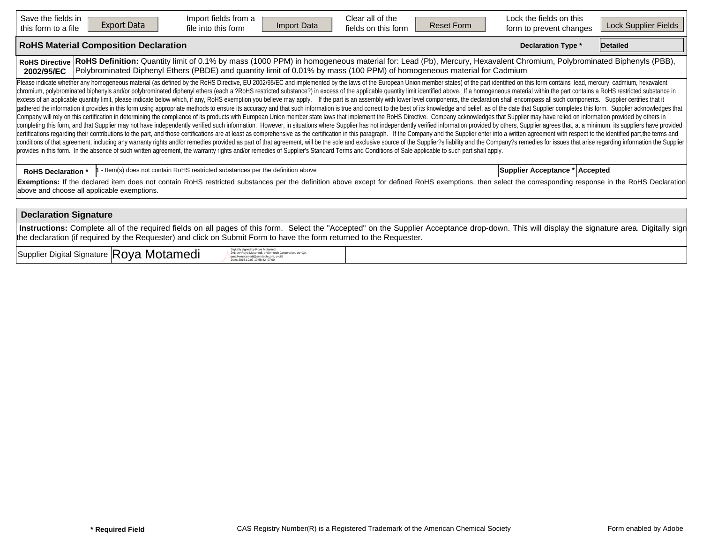| Save the fields in<br><b>Export Data</b><br>this form to a file                                                                                                                                                                                                                                                                                                                                                                                                                                                                                                                                                                                                                                                                                                                                                                                                                                                                                                                                                                                                                                                                                                                                                                                                                                                                                                                                                                                                                                                                                                                                                                                                                                                                                                                                                                                                                                                                                                                                                                                                             | Import fields from a<br>Import Data<br>file into this form                                                                                                                                                                                                                                  | Clear all of the<br>fields on this form | <b>Reset Form</b> | Lock the fields on this<br>form to prevent changes | Lock Supplier Fields |  |  |  |  |  |  |  |
|-----------------------------------------------------------------------------------------------------------------------------------------------------------------------------------------------------------------------------------------------------------------------------------------------------------------------------------------------------------------------------------------------------------------------------------------------------------------------------------------------------------------------------------------------------------------------------------------------------------------------------------------------------------------------------------------------------------------------------------------------------------------------------------------------------------------------------------------------------------------------------------------------------------------------------------------------------------------------------------------------------------------------------------------------------------------------------------------------------------------------------------------------------------------------------------------------------------------------------------------------------------------------------------------------------------------------------------------------------------------------------------------------------------------------------------------------------------------------------------------------------------------------------------------------------------------------------------------------------------------------------------------------------------------------------------------------------------------------------------------------------------------------------------------------------------------------------------------------------------------------------------------------------------------------------------------------------------------------------------------------------------------------------------------------------------------------------|---------------------------------------------------------------------------------------------------------------------------------------------------------------------------------------------------------------------------------------------------------------------------------------------|-----------------------------------------|-------------------|----------------------------------------------------|----------------------|--|--|--|--|--|--|--|
| <b>RoHS Material Composition Declaration</b>                                                                                                                                                                                                                                                                                                                                                                                                                                                                                                                                                                                                                                                                                                                                                                                                                                                                                                                                                                                                                                                                                                                                                                                                                                                                                                                                                                                                                                                                                                                                                                                                                                                                                                                                                                                                                                                                                                                                                                                                                                |                                                                                                                                                                                                                                                                                             |                                         |                   | <b>Declaration Type *</b>                          | Detailed             |  |  |  |  |  |  |  |
| <b>RoHS Directive</b><br>2002/95/EC                                                                                                                                                                                                                                                                                                                                                                                                                                                                                                                                                                                                                                                                                                                                                                                                                                                                                                                                                                                                                                                                                                                                                                                                                                                                                                                                                                                                                                                                                                                                                                                                                                                                                                                                                                                                                                                                                                                                                                                                                                         | RoHS Definition: Quantity limit of 0.1% by mass (1000 PPM) in homogeneous material for: Lead (Pb), Mercury, Hexavalent Chromium, Polybrominated Biphenyls (PBB),<br>Polybrominated Diphenyl Ethers (PBDE) and quantity limit of 0.01% by mass (100 PPM) of homogeneous material for Cadmium |                                         |                   |                                                    |                      |  |  |  |  |  |  |  |
| Please indicate whether any homogeneous material (as defined by the RoHS Directive, EU 2002/95/EC and implemented by the laws of the European Union member states) of the part identified on this form contains lead, mercury,<br>chromium, polybrominated biphenyls and/or polybrominated diphenyl ethers (each a ?RoHS restricted substance?) in excess of the applicable quantity limit identified above. If a homogeneous material within the part contains<br>excess of an applicable quantity limit, please indicate below which, if any, RoHS exemption you believe may apply. If the part is an assembly with lower level components, the declaration shall encompass all such components<br>gathered the information it provides in this form using appropriate methods to ensure its accuracy and that such information is true and correct to the best of its knowledge and belief, as of the date that Supplier complet<br>Company will rely on this certification in determining the compliance of its products with European Union member state laws that implement the RoHS Directive. Company acknowledges that Supplier may have relied on informati<br>completing this form, and that Supplier may not have independently verified such information. However, in situations where Supplier has not independently verified information provided by others, Supplier agrees that, at a<br>certifications regarding their contributions to the part, and those certifications are at least as comprehensive as the certification in this paragraph. If the Company and the Supplier enter into a written agreement with r<br>conditions of that agreement, including any warranty rights and/or remedies provided as part of that agreement, will be the sole and exclusive source of the Supplier?s liability and the Company?s remedies for issues that a<br>provides in this form. In the absence of such written agreement, the warranty rights and/or remedies of Supplier's Standard Terms and Conditions of Sale applicable to such part shall apply. |                                                                                                                                                                                                                                                                                             |                                         |                   |                                                    |                      |  |  |  |  |  |  |  |
| <b>RoHS Declaration *</b>                                                                                                                                                                                                                                                                                                                                                                                                                                                                                                                                                                                                                                                                                                                                                                                                                                                                                                                                                                                                                                                                                                                                                                                                                                                                                                                                                                                                                                                                                                                                                                                                                                                                                                                                                                                                                                                                                                                                                                                                                                                   | - Item(s) does not contain RoHS restricted substances per the definition above                                                                                                                                                                                                              |                                         |                   | Supplier Acceptance * Accepted                     |                      |  |  |  |  |  |  |  |
| above and choose all applicable exemptions.                                                                                                                                                                                                                                                                                                                                                                                                                                                                                                                                                                                                                                                                                                                                                                                                                                                                                                                                                                                                                                                                                                                                                                                                                                                                                                                                                                                                                                                                                                                                                                                                                                                                                                                                                                                                                                                                                                                                                                                                                                 | Exemptions: If the declared item does not contain RoHS restricted substances per the definition above except for defined RoHS exemptions, then select the corresponding response in the RoHS Declaration                                                                                    |                                         |                   |                                                    |                      |  |  |  |  |  |  |  |
| <b>Declaration Signature</b>                                                                                                                                                                                                                                                                                                                                                                                                                                                                                                                                                                                                                                                                                                                                                                                                                                                                                                                                                                                                                                                                                                                                                                                                                                                                                                                                                                                                                                                                                                                                                                                                                                                                                                                                                                                                                                                                                                                                                                                                                                                |                                                                                                                                                                                                                                                                                             |                                         |                   |                                                    |                      |  |  |  |  |  |  |  |
|                                                                                                                                                                                                                                                                                                                                                                                                                                                                                                                                                                                                                                                                                                                                                                                                                                                                                                                                                                                                                                                                                                                                                                                                                                                                                                                                                                                                                                                                                                                                                                                                                                                                                                                                                                                                                                                                                                                                                                                                                                                                             | Instructions: Complete all of the required fields on all pages of this form. Select the "Accepted" on the Supplier Acceptance drop-down. This will display the signature area. Digitally sign                                                                                               |                                         |                   |                                                    |                      |  |  |  |  |  |  |  |

 $Supplier$  Digital Signature  $|{\sf Roya}$  Motamedi Digital  $\frac{Supplement}{\text{Doisson}}$ 

DN: cn=Roya Motamedi, o=Semtech Corporation, ou=QA, email=rmotamedi@semtech.com, c=US Date: 2015.10.07 10:58:42 -07'00'

the declaration (if required by the Requester) and click on Submit Form to have the form returned to the Requester.